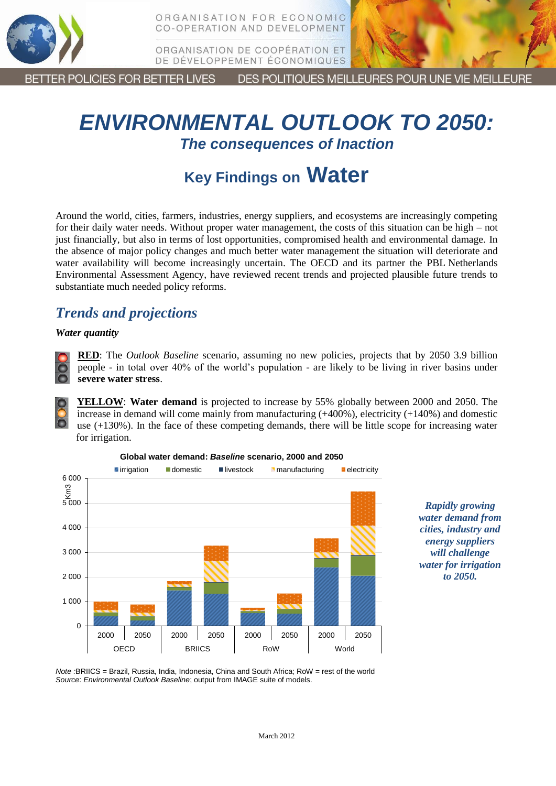

ORGANISATION FOR ECONOMIC **CO-OPERATION AND DEVELOPMENT** 

ORGANISATION DE COOPÉRATION ET DE DÉVELOPPEMENT ÉCONOMIQUES

BETTER POLICIES FOR BETTER LIVES

DES POLITIQUES MEILLEURES POUR UNE VIE MEILLEURE

# *ENVIRONMENTAL OUTLOOK TO 2050: The consequences of Inaction*

# **Key Findings on Water**

Around the world, cities, farmers, industries, energy suppliers, and ecosystems are increasingly competing for their daily water needs. Without proper water management, the costs of this situation can be high – not just financially, but also in terms of lost opportunities, compromised health and environmental damage. In the absence of major policy changes and much better water management the situation will deteriorate and water availability will become increasingly uncertain. The OECD and its partner the PBL Netherlands Environmental Assessment Agency, have reviewed recent trends and projected plausible future trends to substantiate much needed policy reforms.

# *Trends and projections*

### *Water quantity*



**RED**: The *Outlook Baseline* scenario, assuming no new policies, projects that by 2050 3.9 billion people - in total over 40% of the world's population - are likely to be living in river basins under **severe water stress**.

**YELLOW**: **Water demand** is projected to increase by 55% globally between 2000 and 2050. The increase in demand will come mainly from manufacturing (+400%), electricity (+140%) and domestic use (+130%). In the face of these competing demands, there will be little scope for increasing water for irrigation.



*Rapidly growing water demand from cities, industry and energy suppliers will challenge water for irrigation to 2050.*

*Note :*BRIICS = Brazil, Russia, India, Indonesia, China and South Africa; RoW = rest of the world *Source*: *Environmental Outlook Baseline*; output from IMAGE suite of models.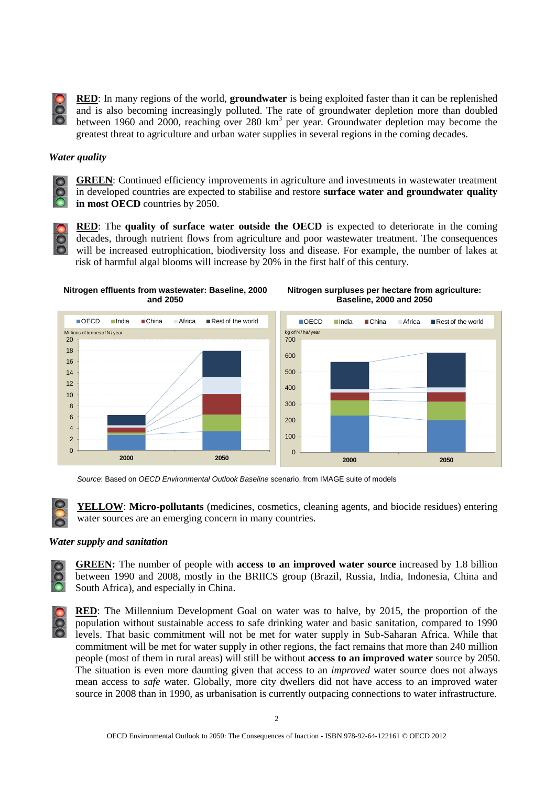

**RED**: In many regions of the world, **groundwater** is being exploited faster than it can be replenished and is also becoming increasingly polluted. The rate of groundwater depletion more than doubled between 1960 and 2000, reaching over 280 km<sup>3</sup> per year. Groundwater depletion may become the greatest threat to agriculture and urban water supplies in several regions in the coming decades.

#### *Water quality*



**GREEN**: Continued efficiency improvements in agriculture and investments in wastewater treatment in developed countries are expected to stabilise and restore **surface water and groundwater quality in most OECD** countries by 2050.



**RED**: The **quality of surface water outside the OECD** is expected to deteriorate in the coming decades, through nutrient flows from agriculture and poor wastewater treatment. The consequences will be increased eutrophication, biodiversity loss and disease. For example, the number of lakes at risk of harmful algal blooms will increase by 20% in the first half of this century.







*Source*: Based on *OECD Environmental Outlook Baseline* scenario, from IMAGE suite of models



**YELLOW**: **Micro-pollutants** (medicines, cosmetics, cleaning agents, and biocide residues) entering water sources are an emerging concern in many countries.

### *Water supply and sanitation*

**GREEN:** The number of people with **access to an improved water source** increased by 1.8 billion between 1990 and 2008, mostly in the BRIICS group (Brazil, Russia, India, Indonesia, China and South Africa), and especially in China.

**RED**: The Millennium Development Goal on water was to halve, by 2015, the proportion of the population without sustainable access to safe drinking water and basic sanitation, compared to 1990 levels. That basic commitment will not be met for water supply in Sub-Saharan Africa. While that commitment will be met for water supply in other regions, the fact remains that more than 240 million people (most of them in rural areas) will still be without **access to an improved water** source by 2050. The situation is even more daunting given that access to an *improved* water source does not always mean access to *safe* water. Globally, more city dwellers did not have access to an improved water source in 2008 than in 1990, as urbanisation is currently outpacing connections to water infrastructure.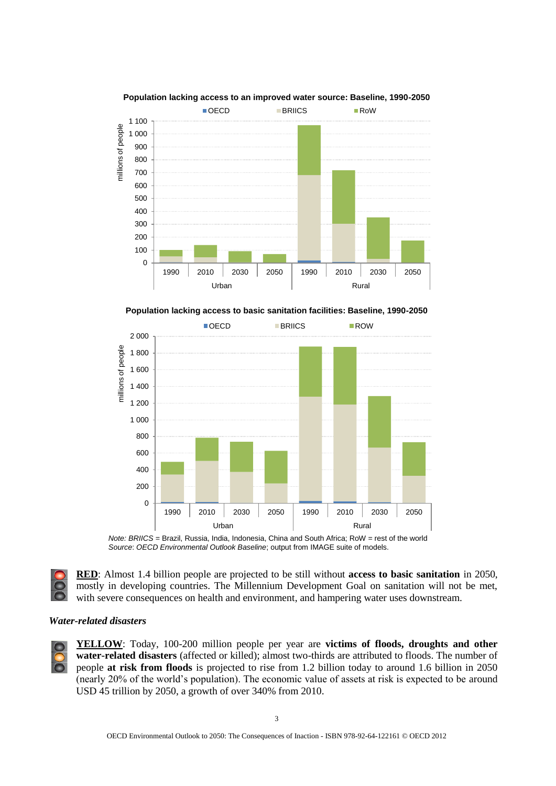

**Population lacking access to an improved water source: Baseline, 1990-2050**





*Note: BRIICS* = Brazil, Russia, India, Indonesia, China and South Africa; RoW = rest of the world *Source*: *OECD Environmental Outlook Baseline*; output from IMAGE suite of models.

**RED**: Almost 1.4 billion people are projected to be still without **access to basic sanitation** in 2050, mostly in developing countries. The Millennium Development Goal on sanitation will not be met, with severe consequences on health and environment, and hampering water uses downstream.

#### *Water-related disasters*

**YELLOW**: Today, 100-200 million people per year are **victims of floods, droughts and other water-related disasters** (affected or killed); almost two-thirds are attributed to floods. The number of people **at risk from floods** is projected to rise from 1.2 billion today to around 1.6 billion in 2050 (nearly 20% of the world's population). The economic value of assets at risk is expected to be around USD 45 trillion by 2050, a growth of over 340% from 2010.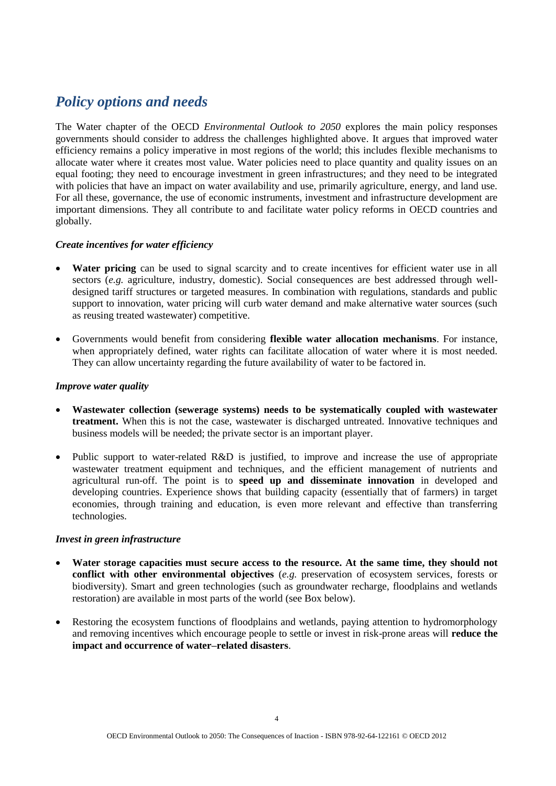# *Policy options and needs*

The Water chapter of the OECD *Environmental Outlook to 2050* explores the main policy responses governments should consider to address the challenges highlighted above. It argues that improved water efficiency remains a policy imperative in most regions of the world; this includes flexible mechanisms to allocate water where it creates most value. Water policies need to place quantity and quality issues on an equal footing; they need to encourage investment in green infrastructures; and they need to be integrated with policies that have an impact on water availability and use, primarily agriculture, energy, and land use. For all these, governance, the use of economic instruments, investment and infrastructure development are important dimensions. They all contribute to and facilitate water policy reforms in OECD countries and globally.

#### *Create incentives for water efficiency*

- Water pricing can be used to signal scarcity and to create incentives for efficient water use in all sectors (*e.g.* agriculture, industry, domestic). Social consequences are best addressed through welldesigned tariff structures or targeted measures. In combination with regulations, standards and public support to innovation, water pricing will curb water demand and make alternative water sources (such as reusing treated wastewater) competitive.
- Governments would benefit from considering **flexible water allocation mechanisms**. For instance, when appropriately defined, water rights can facilitate allocation of water where it is most needed. They can allow uncertainty regarding the future availability of water to be factored in.

#### *Improve water quality*

- **Wastewater collection (sewerage systems) needs to be systematically coupled with wastewater treatment.** When this is not the case, wastewater is discharged untreated. Innovative techniques and business models will be needed; the private sector is an important player.
- Public support to water-related R&D is justified, to improve and increase the use of appropriate wastewater treatment equipment and techniques, and the efficient management of nutrients and agricultural run-off. The point is to **speed up and disseminate innovation** in developed and developing countries. Experience shows that building capacity (essentially that of farmers) in target economies, through training and education, is even more relevant and effective than transferring technologies.

#### *Invest in green infrastructure*

- **Water storage capacities must secure access to the resource. At the same time, they should not conflict with other environmental objectives** (*e.g.* preservation of ecosystem services, forests or biodiversity). Smart and green technologies (such as groundwater recharge, floodplains and wetlands restoration) are available in most parts of the world (see Box below).
- Restoring the ecosystem functions of floodplains and wetlands, paying attention to hydromorphology and removing incentives which encourage people to settle or invest in risk-prone areas will **reduce the impact and occurrence of water–related disasters**.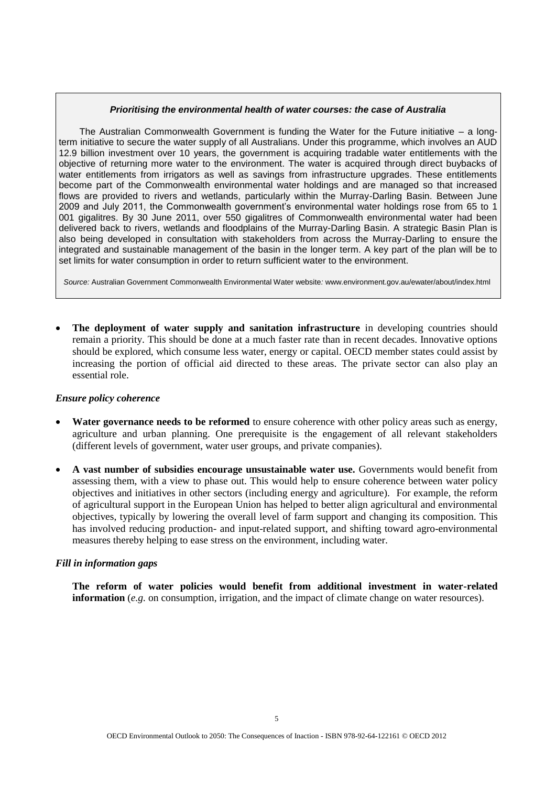#### *Prioritising the environmental health of water courses: the case of Australia*

The Australian Commonwealth Government is funding the Water for the Future initiative – a longterm initiative to secure the water supply of all Australians. Under this programme, which involves an AUD 12.9 billion investment over 10 years, the government is acquiring tradable water entitlements with the objective of returning more water to the environment. The water is acquired through direct buybacks of water entitlements from irrigators as well as savings from infrastructure upgrades. These entitlements become part of the Commonwealth environmental water holdings and are managed so that increased flows are provided to rivers and wetlands, particularly within the Murray-Darling Basin. Between June 2009 and July 2011, the Commonwealth government's environmental water holdings rose from 65 to 1 001 gigalitres. By 30 June 2011, over 550 gigalitres of Commonwealth environmental water had been delivered back to rivers, wetlands and floodplains of the Murray-Darling Basin. A strategic Basin Plan is also being developed in consultation with stakeholders from across the Murray-Darling to ensure the integrated and sustainable management of the basin in the longer term. A key part of the plan will be to set limits for water consumption in order to return sufficient water to the environment.

*Source:* Australian Government Commonwealth Environmental Water website*:* [www.environment.gov.au/ewater/about/index.html](http://www.environment.gov.au/ewater/about/index.html)

 **The deployment of water supply and sanitation infrastructure** in developing countries should remain a priority. This should be done at a much faster rate than in recent decades. Innovative options should be explored, which consume less water, energy or capital. OECD member states could assist by increasing the portion of official aid directed to these areas. The private sector can also play an essential role.

#### *Ensure policy coherence*

- **Water governance needs to be reformed** to ensure coherence with other policy areas such as energy, agriculture and urban planning. One prerequisite is the engagement of all relevant stakeholders (different levels of government, water user groups, and private companies).
- **A vast number of subsidies encourage unsustainable water use.** Governments would benefit from assessing them, with a view to phase out. This would help to ensure coherence between water policy objectives and initiatives in other sectors (including energy and agriculture). For example, the reform of agricultural support in the European Union has helped to better align agricultural and environmental objectives, typically by lowering the overall level of farm support and changing its composition. This has involved reducing production- and input-related support, and shifting toward agro-environmental measures thereby helping to ease stress on the environment, including water.

#### *Fill in information gaps*

**The reform of water policies would benefit from additional investment in water-related information** (*e.g.* on consumption, irrigation, and the impact of climate change on water resources).